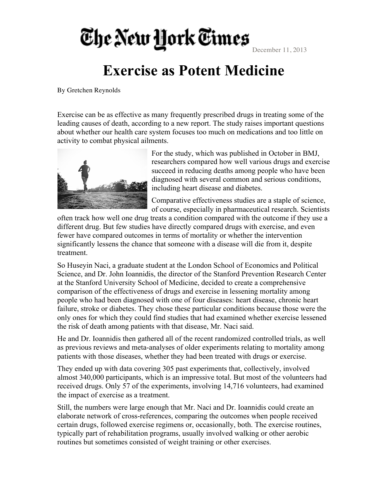## The New Hork Times

December 11, 2013

## **Exercise as Potent Medicine**

By Gretchen Reynolds

Exercise can be as effective as many frequently prescribed drugs in treating some of the leading causes of death, according to a new report. The study raises important questions about whether our health care system focuses too much on medications and too little on activity to combat physical ailments.



For the study, which was published in October in BMJ, researchers compared how well various drugs and exercise succeed in reducing deaths among people who have been diagnosed with several common and serious conditions, including heart disease and diabetes.

Comparative effectiveness studies are a staple of science, of course, especially in pharmaceutical research. Scientists

often track how well one drug treats a condition compared with the outcome if they use a different drug. But few studies have directly compared drugs with exercise, and even fewer have compared outcomes in terms of mortality or whether the intervention significantly lessens the chance that someone with a disease will die from it, despite treatment.

So Huseyin Naci, a graduate student at the London School of Economics and Political Science, and Dr. John Ioannidis, the director of the Stanford Prevention Research Center at the Stanford University School of Medicine, decided to create a comprehensive comparison of the effectiveness of drugs and exercise in lessening mortality among people who had been diagnosed with one of four diseases: heart disease, chronic heart failure, stroke or diabetes. They chose these particular conditions because those were the only ones for which they could find studies that had examined whether exercise lessened the risk of death among patients with that disease, Mr. Naci said.

He and Dr. Ioannidis then gathered all of the recent randomized controlled trials, as well as previous reviews and meta-analyses of older experiments relating to mortality among patients with those diseases, whether they had been treated with drugs or exercise.

They ended up with data covering 305 past experiments that, collectively, involved almost 340,000 participants, which is an impressive total. But most of the volunteers had received drugs. Only 57 of the experiments, involving 14,716 volunteers, had examined the impact of exercise as a treatment.

Still, the numbers were large enough that Mr. Naci and Dr. Ioannidis could create an elaborate network of cross-references, comparing the outcomes when people received certain drugs, followed exercise regimens or, occasionally, both. The exercise routines, typically part of rehabilitation programs, usually involved walking or other aerobic routines but sometimes consisted of weight training or other exercises.